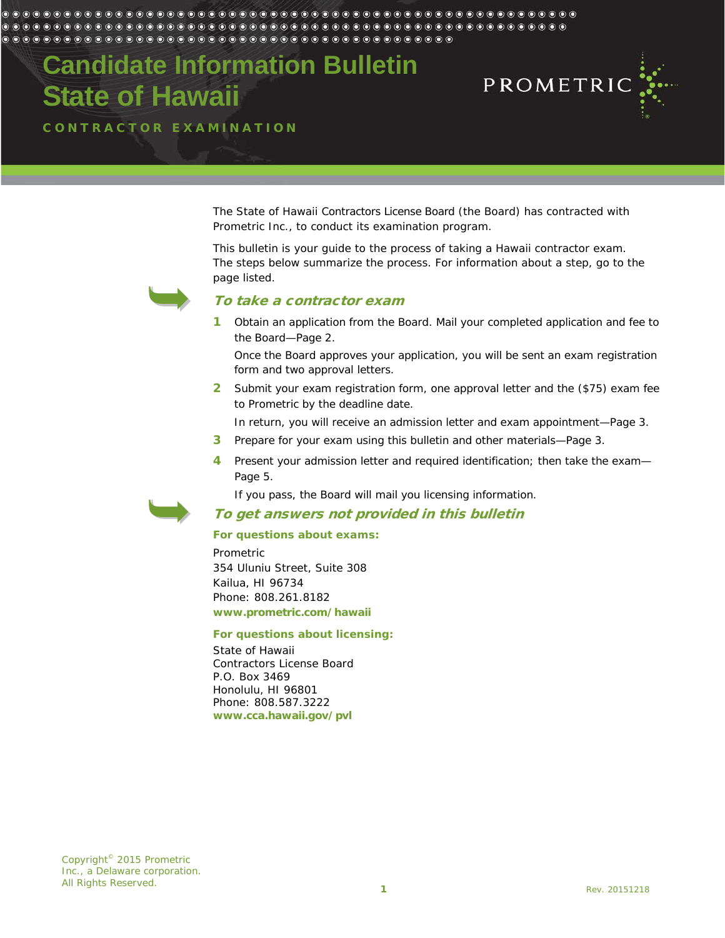#### $\circ$   $\circ$

**Candidate Information Bulletin State of Hawaii**



CONTRACTOR EXAMINATION

The State of Hawaii Contractors License Board (the Board) has contracted with Prometric Inc., to conduct its examination program.

This bulletin is your guide to the process of taking a Hawaii contractor exam. The steps below summarize the process. For information about a step, go to the page listed.



### To take a contractor exam

1 Obtain an application from the Board. Mail your completed application and fee to the Board—Page [2.](#page-1-0)

Once the Board approves your application, you will be sent an exam registration form and two approval letters.

2 Submit your exam registration form, one approval letter and the (\$75) exam fee to Prometric by the deadline date.

In return, you will receive an admission letter and exam appointment—Page [3.](#page-2-0)

- 3 Prepare for your exam using this bulletin and other materials—Page [3.](#page-2-1)
- 4 Present your admission letter and required identification; then take the exam-Page [5.](#page-4-0)

If you pass, the Board will mail you licensing information.

### To get answers not provided in this bulletin

#### **For questions about exams:**

Prometric 354 Uluniu Street, Suite 308 Kailua, HI 96734 Phone: 808.261.8182 **www.prometric.com/hawaii**

#### **For questions about licensing:**

State of Hawaii Contractors License Board P.O. Box 3469 Honolulu, HI 96801 Phone: 808.587.3222 **www.cca.hawaii.gov/pvl**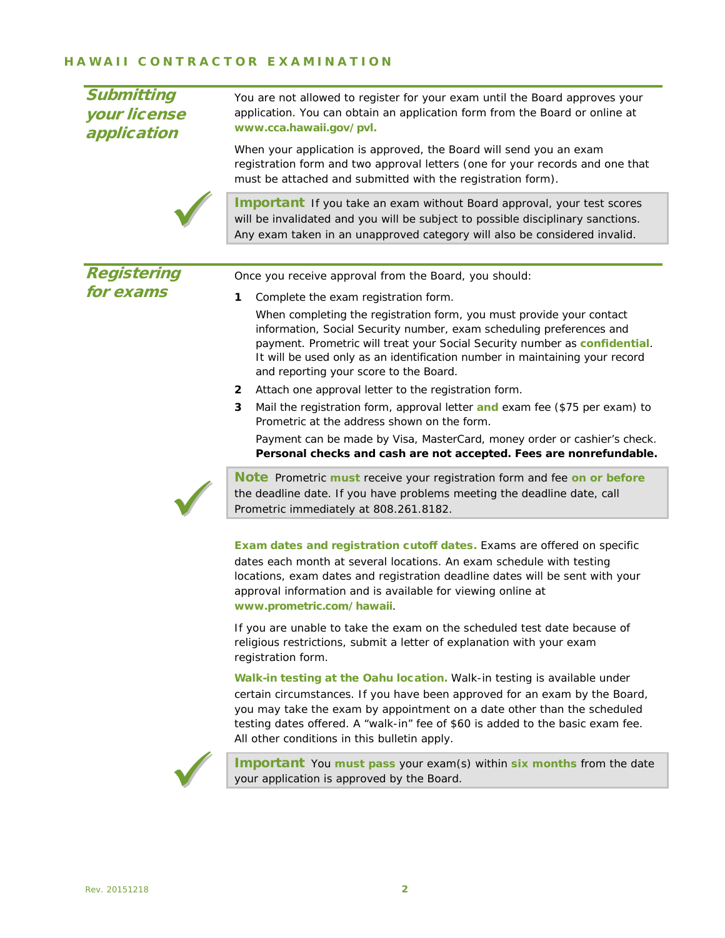## HAWAII CONTRACTOR EX AMINATION

<span id="page-1-0"></span>

| <b>Submitting</b><br>your license<br>application | You are not allowed to register for your exam until the Board approves your<br>application. You can obtain an application form from the Board or online at<br>www.cca.hawaii.gov/pvl.                                                                                                                                                                               |  |  |  |  |
|--------------------------------------------------|---------------------------------------------------------------------------------------------------------------------------------------------------------------------------------------------------------------------------------------------------------------------------------------------------------------------------------------------------------------------|--|--|--|--|
|                                                  | When your application is approved, the Board will send you an exam<br>registration form and two approval letters (one for your records and one that<br>must be attached and submitted with the registration form).                                                                                                                                                  |  |  |  |  |
|                                                  | Important If you take an exam without Board approval, your test scores<br>will be invalidated and you will be subject to possible disciplinary sanctions.<br>Any exam taken in an unapproved category will also be considered invalid.                                                                                                                              |  |  |  |  |
|                                                  |                                                                                                                                                                                                                                                                                                                                                                     |  |  |  |  |
| <b>Registering</b>                               | Once you receive approval from the Board, you should:                                                                                                                                                                                                                                                                                                               |  |  |  |  |
| for exams                                        | 1<br>Complete the exam registration form.                                                                                                                                                                                                                                                                                                                           |  |  |  |  |
|                                                  | When completing the registration form, you must provide your contact<br>information, Social Security number, exam scheduling preferences and<br>payment. Prometric will treat your Social Security number as confidential.<br>It will be used only as an identification number in maintaining your record<br>and reporting your score to the Board.                 |  |  |  |  |
|                                                  | Attach one approval letter to the registration form.<br>2                                                                                                                                                                                                                                                                                                           |  |  |  |  |
|                                                  | 3<br>Mail the registration form, approval letter and exam fee (\$75 per exam) to<br>Prometric at the address shown on the form.                                                                                                                                                                                                                                     |  |  |  |  |
|                                                  | Payment can be made by Visa, MasterCard, money order or cashier's check.<br>Personal checks and cash are not accepted. Fees are nonrefundable.                                                                                                                                                                                                                      |  |  |  |  |
|                                                  | Note Prometric must receive your registration form and fee on or before<br>the deadline date. If you have problems meeting the deadline date, call<br>Prometric immediately at 808.261.8182.                                                                                                                                                                        |  |  |  |  |
|                                                  | <b>Exam dates and registration cutoff dates.</b> Exams are offered on specific<br>dates each month at several locations. An exam schedule with testing<br>locations, exam dates and registration deadline dates will be sent with your<br>approval information and is available for viewing online at<br>www.prometric.com/hawaii.                                  |  |  |  |  |
|                                                  | If you are unable to take the exam on the scheduled test date because of<br>religious restrictions, submit a letter of explanation with your exam<br>registration form.                                                                                                                                                                                             |  |  |  |  |
|                                                  | Walk-in testing at the Oahu location. Walk-in testing is available under<br>certain circumstances. If you have been approved for an exam by the Board,<br>you may take the exam by appointment on a date other than the scheduled<br>testing dates offered. A "walk-in" fee of \$60 is added to the basic exam fee.<br>All other conditions in this bulletin apply. |  |  |  |  |
|                                                  | $\mathbf{R}$                                                                                                                                                                                                                                                                                                                                                        |  |  |  |  |



Important You **must pass** your exam(s) within **six months** from the date your application is approved by the Board.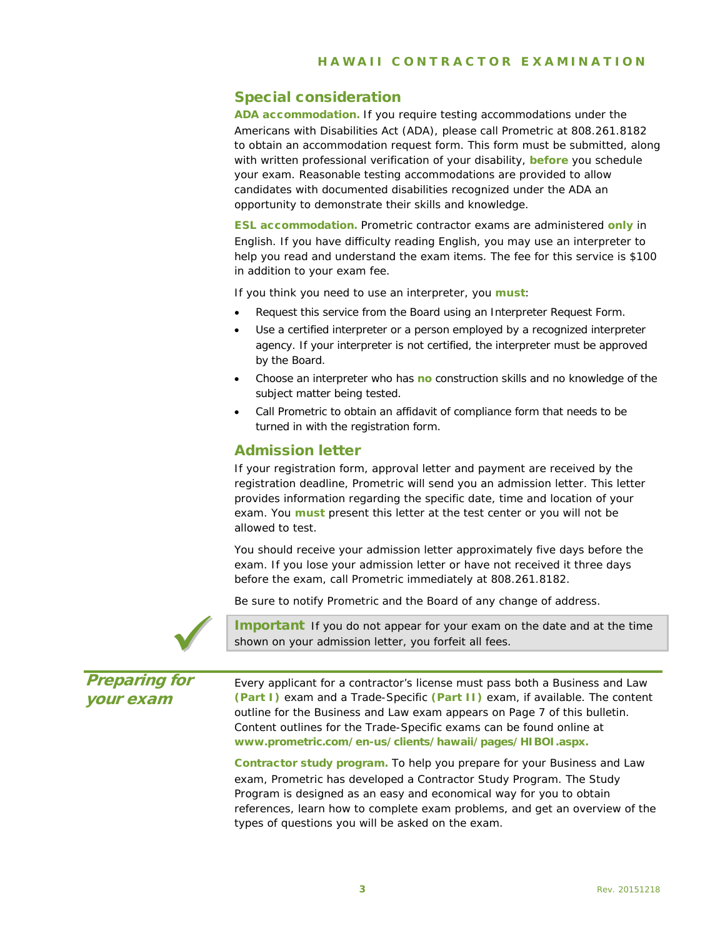## Special consideration

ADA accommodation. If you require testing accommodations under the Americans with Disabilities Act (ADA), please call Prometric at 808.261.8182 to obtain an accommodation request form. This form must be submitted, along with written professional verification of your disability, **before** you schedule your exam. Reasonable testing accommodations are provided to allow candidates with documented disabilities recognized under the ADA an opportunity to demonstrate their skills and knowledge.

ESL accommodation. Prometric contractor exams are administered **only** in English. If you have difficulty reading English, you may use an interpreter to help you read and understand the exam items. The fee for this service is \$100 in addition to your exam fee.

If you think you need to use an interpreter, you **must**:

- Request this service from the Board using an Interpreter Request Form.
- Use a certified interpreter or a person employed by a recognized interpreter agency. If your interpreter is not certified, the interpreter must be approved by the Board.
- Choose an interpreter who has **no** construction skills and no knowledge of the subject matter being tested.
- Call Prometric to obtain an affidavit of compliance form that needs to be turned in with the registration form.

### <span id="page-2-0"></span>Admission letter

If your registration form, approval letter and payment are received by the registration deadline, Prometric will send you an admission letter. This letter provides information regarding the specific date, time and location of your exam. You **must** present this letter at the test center or you will not be allowed to test.

You should receive your admission letter approximately five days before the exam. If you lose your admission letter or have not received it three days before the exam, call Prometric immediately at 808.261.8182.

Be sure to notify Prometric and the Board of any change of address.



Important If you do not appear for your exam on the date and at the time shown on your admission letter, you forfeit all fees.

<span id="page-2-1"></span>Preparing for your exam

Every applicant for a contractor's license must pass both a Business and Law **(Part I)** exam and a Trade-Specific **(Part II)** exam, if available. The content outline for the Business and Law exam appears on Page 7 of this bulletin. Content outlines for the Trade-Specific exams can be found online at **[www.prometric.com/en-us/clients/hawaii/pages/HIBOI.aspx.](http://www.prometric.com/en-us/clients/hawaii/pages/HIBOI.aspx)**

Contractor study program. To help you prepare for your Business and Law exam, Prometric has developed a Contractor Study Program. The Study Program is designed as an easy and economical way for you to obtain references, learn how to complete exam problems, and get an overview of the types of questions you will be asked on the exam.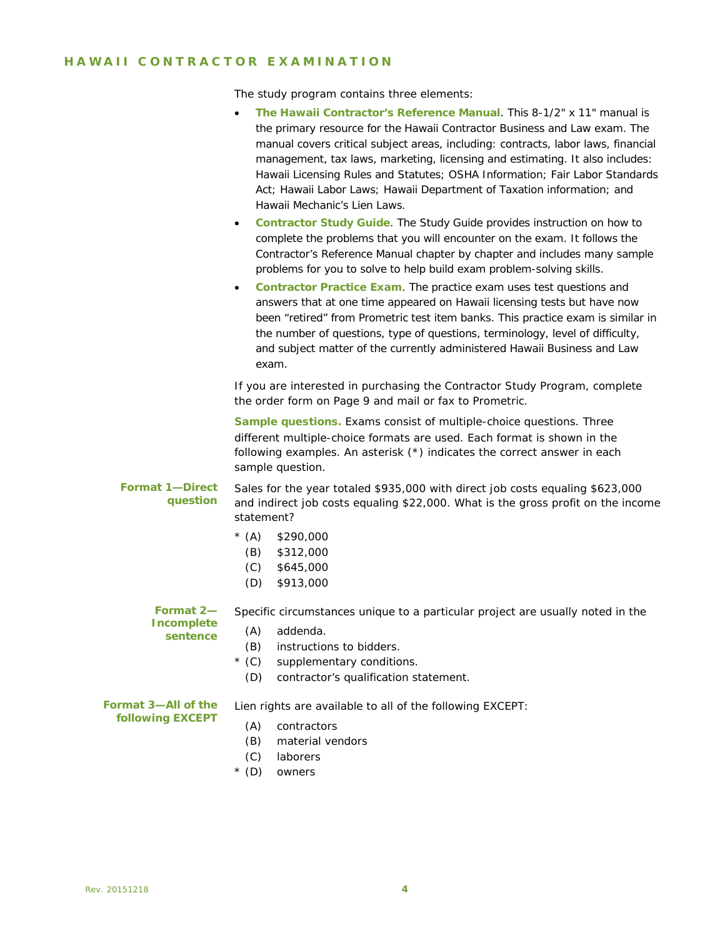## HAWAII CONTRACTOR EX AMINATION

The study program contains three elements:

|                                                | The Hawaii Contractor's Reference Manual. This 8-1/2" x 11" manual is<br>$\bullet$<br>the primary resource for the Hawaii Contractor Business and Law exam. The<br>manual covers critical subject areas, including: contracts, labor laws, financial<br>management, tax laws, marketing, licensing and estimating. It also includes:<br>Hawaii Licensing Rules and Statutes; OSHA Information; Fair Labor Standards<br>Act; Hawaii Labor Laws; Hawaii Department of Taxation information; and<br>Hawaii Mechanic's Lien Laws.<br>Contractor Study Guide. The Study Guide provides instruction on how to<br>$\bullet$<br>complete the problems that you will encounter on the exam. It follows the<br>Contractor's Reference Manual chapter by chapter and includes many sample<br>problems for you to solve to help build exam problem-solving skills.<br>Contractor Practice Exam. The practice exam uses test questions and<br>$\bullet$<br>answers that at one time appeared on Hawaii licensing tests but have now<br>been "retired" from Prometric test item banks. This practice exam is similar in<br>the number of questions, type of questions, terminology, level of difficulty,<br>and subject matter of the currently administered Hawaii Business and Law<br>exam. |
|------------------------------------------------|---------------------------------------------------------------------------------------------------------------------------------------------------------------------------------------------------------------------------------------------------------------------------------------------------------------------------------------------------------------------------------------------------------------------------------------------------------------------------------------------------------------------------------------------------------------------------------------------------------------------------------------------------------------------------------------------------------------------------------------------------------------------------------------------------------------------------------------------------------------------------------------------------------------------------------------------------------------------------------------------------------------------------------------------------------------------------------------------------------------------------------------------------------------------------------------------------------------------------------------------------------------------------------|
|                                                | If you are interested in purchasing the Contractor Study Program, complete<br>the order form on Page 9 and mail or fax to Prometric.                                                                                                                                                                                                                                                                                                                                                                                                                                                                                                                                                                                                                                                                                                                                                                                                                                                                                                                                                                                                                                                                                                                                            |
|                                                | Sample questions. Exams consist of multiple-choice questions. Three<br>different multiple-choice formats are used. Each format is shown in the<br>following examples. An asterisk (*) indicates the correct answer in each<br>sample question.                                                                                                                                                                                                                                                                                                                                                                                                                                                                                                                                                                                                                                                                                                                                                                                                                                                                                                                                                                                                                                  |
| <b>Format 1-Direct</b><br>question             | Sales for the year totaled \$935,000 with direct job costs equaling \$623,000<br>and indirect job costs equaling \$22,000. What is the gross profit on the income<br>statement?                                                                                                                                                                                                                                                                                                                                                                                                                                                                                                                                                                                                                                                                                                                                                                                                                                                                                                                                                                                                                                                                                                 |
|                                                | $*(A)$<br>\$290,000<br>(B)<br>\$312,000<br>(C)<br>\$645,000<br>(D)<br>\$913,000                                                                                                                                                                                                                                                                                                                                                                                                                                                                                                                                                                                                                                                                                                                                                                                                                                                                                                                                                                                                                                                                                                                                                                                                 |
| Format 2-<br>Incomplete<br>sentence            | Specific circumstances unique to a particular project are usually noted in the<br>(A)<br>addenda.<br>(B)<br>instructions to bidders.<br>$*(C)$<br>supplementary conditions.<br>contractor's qualification statement.<br>(D)                                                                                                                                                                                                                                                                                                                                                                                                                                                                                                                                                                                                                                                                                                                                                                                                                                                                                                                                                                                                                                                     |
| Format 3-All of the<br><b>following EXCEPT</b> | Lien rights are available to all of the following EXCEPT:<br>(A)<br>contractors<br>(B)<br>material vendors<br>(C)<br>laborers<br>$*(D)$<br>owners                                                                                                                                                                                                                                                                                                                                                                                                                                                                                                                                                                                                                                                                                                                                                                                                                                                                                                                                                                                                                                                                                                                               |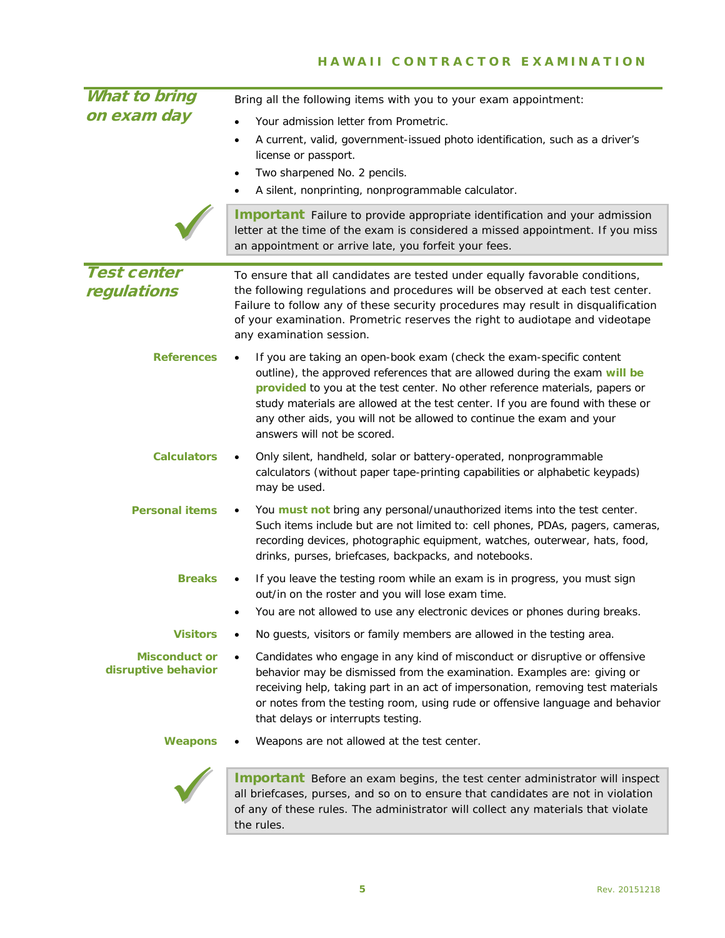## HAWAII CONTRACTOR EXAMINATION

<span id="page-4-0"></span>

| <b>What to bring</b>                        | Bring all the following items with you to your exam appointment:                                                                                                                                                                                                                                                                                                                                                            |
|---------------------------------------------|-----------------------------------------------------------------------------------------------------------------------------------------------------------------------------------------------------------------------------------------------------------------------------------------------------------------------------------------------------------------------------------------------------------------------------|
| on exam day                                 | Your admission letter from Prometric.<br>A current, valid, government-issued photo identification, such as a driver's<br>$\bullet$<br>license or passport.<br>Two sharpened No. 2 pencils.<br>$\bullet$<br>A silent, nonprinting, nonprogrammable calculator.<br>٠                                                                                                                                                          |
|                                             | <b>Important</b> Failure to provide appropriate identification and your admission<br>letter at the time of the exam is considered a missed appointment. If you miss<br>an appointment or arrive late, you forfeit your fees.                                                                                                                                                                                                |
| <b>Test center</b><br>regulations           | To ensure that all candidates are tested under equally favorable conditions,<br>the following regulations and procedures will be observed at each test center.<br>Failure to follow any of these security procedures may result in disqualification<br>of your examination. Prometric reserves the right to audiotape and videotape<br>any examination session.                                                             |
| <b>References</b>                           | If you are taking an open-book exam (check the exam-specific content<br>outline), the approved references that are allowed during the exam will be<br>provided to you at the test center. No other reference materials, papers or<br>study materials are allowed at the test center. If you are found with these or<br>any other aids, you will not be allowed to continue the exam and your<br>answers will not be scored. |
| <b>Calculators</b>                          | Only silent, handheld, solar or battery-operated, nonprogrammable<br>calculators (without paper tape-printing capabilities or alphabetic keypads)<br>may be used.                                                                                                                                                                                                                                                           |
| <b>Personal items</b>                       | You must not bring any personal/unauthorized items into the test center.<br>Such items include but are not limited to: cell phones, PDAs, pagers, cameras,<br>recording devices, photographic equipment, watches, outerwear, hats, food,<br>drinks, purses, briefcases, backpacks, and notebooks.                                                                                                                           |
| <b>Breaks</b>                               | If you leave the testing room while an exam is in progress, you must sign<br>out/in on the roster and you will lose exam time.<br>You are not allowed to use any electronic devices or phones during breaks.                                                                                                                                                                                                                |
| <b>Visitors</b>                             | No guests, visitors or family members are allowed in the testing area.                                                                                                                                                                                                                                                                                                                                                      |
| <b>Misconduct or</b><br>disruptive behavior | Candidates who engage in any kind of misconduct or disruptive or offensive<br>behavior may be dismissed from the examination. Examples are: giving or<br>receiving help, taking part in an act of impersonation, removing test materials<br>or notes from the testing room, using rude or offensive language and behavior<br>that delays or interrupts testing.                                                             |
| <b>Weapons</b>                              | Weapons are not allowed at the test center.                                                                                                                                                                                                                                                                                                                                                                                 |
|                                             | Important Before an exam begins, the test center administrator will inspect                                                                                                                                                                                                                                                                                                                                                 |



all briefcases, purses, and so on to ensure that candidates are not in violation of any of these rules. The administrator will collect any materials that violate the rules.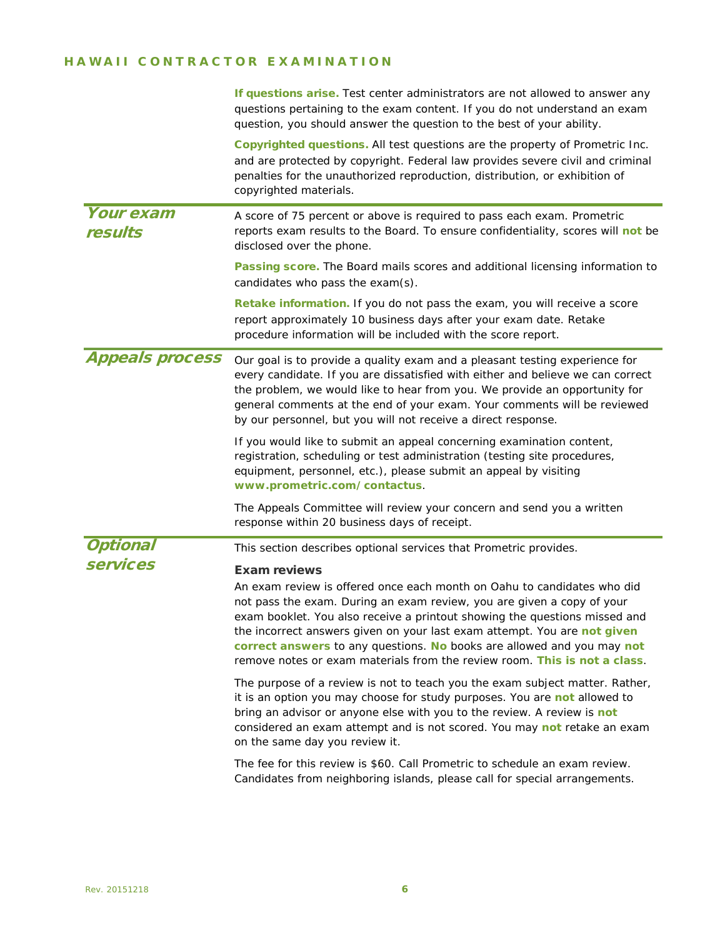## HAWAII CONTRACTOR EX AMINATION

|                             | If questions arise. Test center administrators are not allowed to answer any<br>questions pertaining to the exam content. If you do not understand an exam<br>question, you should answer the question to the best of your ability.                                                                                                                                                                                                                                                       |  |
|-----------------------------|-------------------------------------------------------------------------------------------------------------------------------------------------------------------------------------------------------------------------------------------------------------------------------------------------------------------------------------------------------------------------------------------------------------------------------------------------------------------------------------------|--|
|                             | Copyrighted questions. All test questions are the property of Prometric Inc.<br>and are protected by copyright. Federal law provides severe civil and criminal<br>penalties for the unauthorized reproduction, distribution, or exhibition of<br>copyrighted materials.                                                                                                                                                                                                                   |  |
| <b>Your exam</b><br>results | A score of 75 percent or above is required to pass each exam. Prometric<br>reports exam results to the Board. To ensure confidentiality, scores will not be<br>disclosed over the phone.                                                                                                                                                                                                                                                                                                  |  |
|                             | Passing score. The Board mails scores and additional licensing information to<br>candidates who pass the exam(s).                                                                                                                                                                                                                                                                                                                                                                         |  |
|                             | Retake information. If you do not pass the exam, you will receive a score<br>report approximately 10 business days after your exam date. Retake<br>procedure information will be included with the score report.                                                                                                                                                                                                                                                                          |  |
| <b>Appeals process</b>      | Our goal is to provide a quality exam and a pleasant testing experience for<br>every candidate. If you are dissatisfied with either and believe we can correct<br>the problem, we would like to hear from you. We provide an opportunity for<br>general comments at the end of your exam. Your comments will be reviewed<br>by our personnel, but you will not receive a direct response.                                                                                                 |  |
|                             | If you would like to submit an appeal concerning examination content,<br>registration, scheduling or test administration (testing site procedures,<br>equipment, personnel, etc.), please submit an appeal by visiting<br>www.prometric.com/contactus.                                                                                                                                                                                                                                    |  |
|                             | The Appeals Committee will review your concern and send you a written<br>response within 20 business days of receipt.                                                                                                                                                                                                                                                                                                                                                                     |  |
| <b>Optional</b>             | This section describes optional services that Prometric provides.                                                                                                                                                                                                                                                                                                                                                                                                                         |  |
| <b>services</b>             | <b>Exam reviews</b><br>An exam review is offered once each month on Oahu to candidates who did<br>not pass the exam. During an exam review, you are given a copy of your<br>exam booklet. You also receive a printout showing the questions missed and<br>the incorrect answers given on your last exam attempt. You are not given<br>correct answers to any questions. No books are allowed and you may not<br>remove notes or exam materials from the review room. This is not a class. |  |
|                             | The purpose of a review is not to teach you the exam subject matter. Rather,<br>it is an option you may choose for study purposes. You are not allowed to<br>bring an advisor or anyone else with you to the review. A review is not<br>considered an exam attempt and is not scored. You may not retake an exam<br>on the same day you review it.                                                                                                                                        |  |
|                             | The fee for this review is \$60. Call Prometric to schedule an exam review.<br>Candidates from neighboring islands, please call for special arrangements.                                                                                                                                                                                                                                                                                                                                 |  |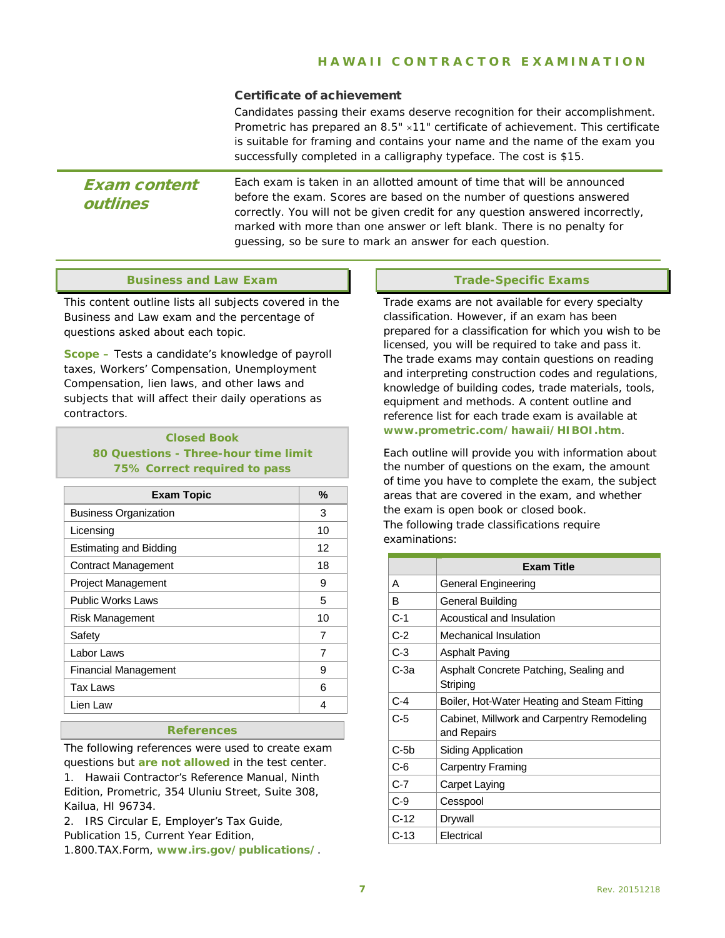### Certificate of achievement

Candidates passing their exams deserve recognition for their accomplishment. Prometric has prepared an 8.5" ×11" certificate of achievement. This certificate is suitable for framing and contains your name and the name of the exam you successfully completed in a calligraphy typeface. The cost is \$15.

## Exam content outlines

Each exam is taken in an allotted amount of time that will be announced before the exam. Scores are based on the number of questions answered correctly. You will not be given credit for any question answered incorrectly, marked with more than one answer or left blank. There is no penalty for guessing, so be sure to mark an answer for each question.

### **Business and Law Exam**

This content outline lists all subjects covered in the Business and Law exam and the percentage of questions asked about each topic.

**Scope –** Tests a candidate's knowledge of payroll taxes, Workers' Compensation, Unemployment Compensation, lien laws, and other laws and subjects that will affect their daily operations as contractors.

### **Closed Book 80 Questions - Three-hour time limit 75% Correct required to pass**

| <b>Exam Topic</b>             | %  |
|-------------------------------|----|
| <b>Business Organization</b>  | 3  |
| Licensing                     | 10 |
| <b>Estimating and Bidding</b> | 12 |
| <b>Contract Management</b>    | 18 |
| <b>Project Management</b>     | 9  |
| <b>Public Works Laws</b>      | 5  |
| <b>Risk Management</b>        | 10 |
| Safety                        | 7  |
| Labor Laws                    | 7  |
| <b>Financial Management</b>   | 9  |
| <b>Tax Laws</b>               | 6  |
| Lien Law                      | 4  |
|                               |    |

#### **References**

The following references were used to create exam questions but **are not allowed** in the test center.

1. *Hawaii Contractor's Reference Manual*, Ninth Edition, Prometric, 354 Uluniu Street, Suite 308, Kailua, HI 96734.

2. *IRS Circular E, Employer's Tax Guide, Publication 15*, Current Year Edition, 1.800.TAX.Form, **www.irs.gov/publications/**.

### **Trade-Specific Exams**

Trade exams are not available for every specialty classification. However, if an exam has been prepared for a classification for which you wish to be licensed, you will be required to take and pass it. The trade exams may contain questions on reading and interpreting construction codes and regulations, knowledge of building codes, trade materials, tools, equipment and methods. A content outline and reference list for each trade exam is available at **www.prometric.com/hawaii/HIBOI.htm**.

Each outline will provide you with information about the number of questions on the exam, the amount of time you have to complete the exam, the subject areas that are covered in the exam, and whether the exam is open book or closed book. The following trade classifications require examinations:

|        | <b>Exam Title</b>                                         |  |
|--------|-----------------------------------------------------------|--|
| А      | General Engineering                                       |  |
| в      | General Building                                          |  |
| $C-1$  | Acoustical and Insulation                                 |  |
| $C-2$  | Mechanical Insulation                                     |  |
| $C-3$  | <b>Asphalt Paving</b>                                     |  |
| С-3а   | Asphalt Concrete Patching, Sealing and<br>Striping        |  |
| $C-4$  | Boiler, Hot-Water Heating and Steam Fitting               |  |
| $C-5$  | Cabinet, Millwork and Carpentry Remodeling<br>and Repairs |  |
| $C-5b$ | Siding Application                                        |  |
| C-6    | <b>Carpentry Framing</b>                                  |  |
| $C-7$  | Carpet Laying                                             |  |
| $C-9$  | Cesspool                                                  |  |
| $C-12$ | Drywall                                                   |  |
| $C-13$ | Electrical                                                |  |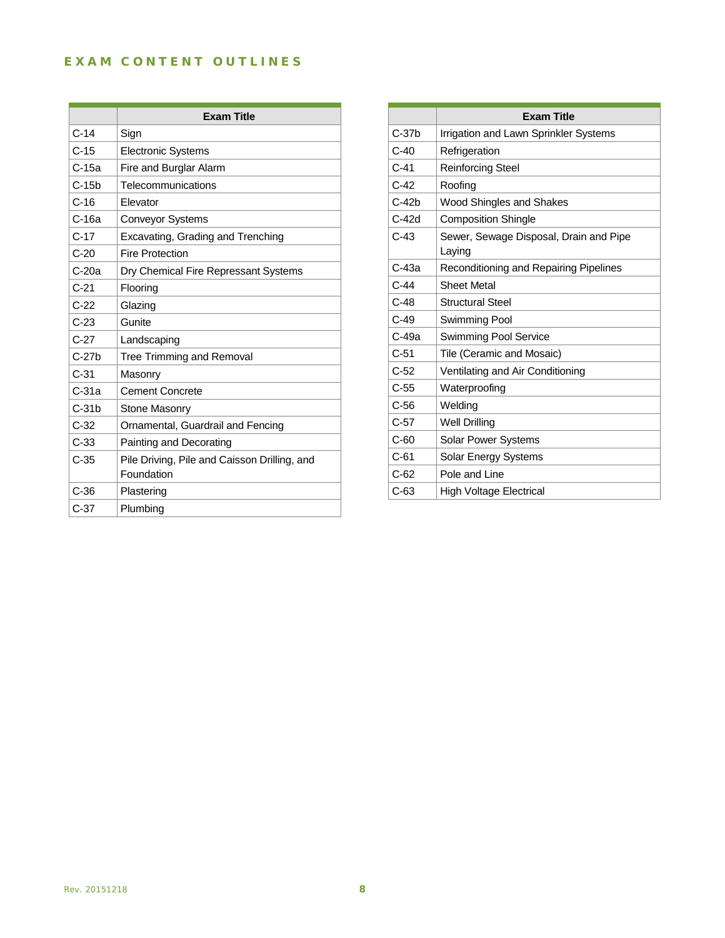## EXAM CONTENT OUTLINES

Î.

<u> 1989 - Johann Stein, marwolaethau a bhann an t-Amhair an t-Amhair an t-Amhair an t-Amhair an t-Amhair an t-A</u>

L.

|         | <b>Exam Title</b>                                          |
|---------|------------------------------------------------------------|
| $C-14$  | Sign                                                       |
| $C-15$  | <b>Electronic Systems</b>                                  |
| C-15a   | Fire and Burglar Alarm                                     |
| $C-15b$ | Telecommunications                                         |
| $C-16$  | <b>Flevator</b>                                            |
| $C-16a$ | <b>Conveyor Systems</b>                                    |
| $C-17$  | Excavating, Grading and Trenching                          |
| $C-20$  | <b>Fire Protection</b>                                     |
| $C-20a$ | Dry Chemical Fire Repressant Systems                       |
| $C-21$  | Flooring                                                   |
| $C-22$  | Glazing                                                    |
| $C-23$  | Gunite                                                     |
| $C-27$  | Landscaping                                                |
| $C-27b$ | <b>Tree Trimming and Removal</b>                           |
| $C-31$  | Masonry                                                    |
| $C-31a$ | <b>Cement Concrete</b>                                     |
| $C-31b$ | <b>Stone Masonry</b>                                       |
| $C-32$  | Ornamental, Guardrail and Fencing                          |
| $C-33$  | Painting and Decorating                                    |
| $C-35$  | Pile Driving, Pile and Caisson Drilling, and<br>Foundation |
| $C-36$  | Plastering                                                 |
| $C-37$  | Plumbing                                                   |

|         | <b>Exam Title</b>                                |
|---------|--------------------------------------------------|
| $C-37b$ | Irrigation and Lawn Sprinkler Systems            |
| $C-40$  | Refrigeration                                    |
| $C-41$  | <b>Reinforcing Steel</b>                         |
| $C-42$  | Roofing                                          |
| $C-42b$ | Wood Shingles and Shakes                         |
| C-42d   | <b>Composition Shingle</b>                       |
| $C-43$  | Sewer, Sewage Disposal, Drain and Pipe<br>Laying |
| C-43a   | Reconditioning and Repairing Pipelines           |
| $C-44$  | <b>Sheet Metal</b>                               |
| $C-48$  | <b>Structural Steel</b>                          |
| $C-49$  | Swimming Pool                                    |
| C-49a   | <b>Swimming Pool Service</b>                     |
| $C-51$  | Tile (Ceramic and Mosaic)                        |
| $C-52$  | Ventilating and Air Conditioning                 |
| $C-55$  | Waterproofing                                    |
| C-56    | Welding                                          |
| $C-57$  | <b>Well Drilling</b>                             |
| $C-60$  | <b>Solar Power Systems</b>                       |
| $C-61$  | <b>Solar Energy Systems</b>                      |
| $C-62$  | Pole and Line                                    |
| C-63    | <b>High Voltage Electrical</b>                   |